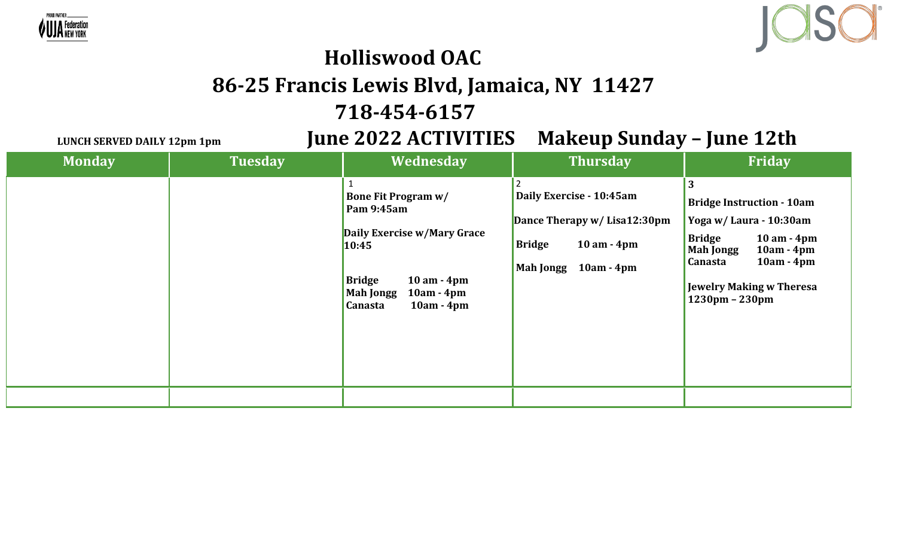



**LUNCH SERVED DAILY 12pm 1pm June 2022 ACTIVITIES Makeup Sunday – June 12th**

| <b>Monday</b> | <b>Tuesday</b> | Wednesday                                                                                                                                                                                         | <b>Thursday</b>                                                                                                         | Friday                                                                                                                                                                                                                       |
|---------------|----------------|---------------------------------------------------------------------------------------------------------------------------------------------------------------------------------------------------|-------------------------------------------------------------------------------------------------------------------------|------------------------------------------------------------------------------------------------------------------------------------------------------------------------------------------------------------------------------|
|               |                | <b>Bone Fit Program w/</b><br>Pam 9:45am<br>Daily Exercise w/Mary Grace<br>10:45<br><b>Bridge</b><br>$10 \text{ am} - 4 \text{pm}$<br><b>Mah Jongg</b><br>$10am - 4pm$<br>Canasta<br>$10am - 4pm$ | Daily Exercise - 10:45am<br>Dance Therapy w/ Lisa12:30pm<br><b>Bridge</b><br>$10 am - 4pm$<br>Mah Jongg<br>$10am - 4pm$ | 3<br><b>Bridge Instruction - 10am</b><br>Yoga w/ Laura - 10:30am<br><b>Bridge</b><br>$10 am - 4pm$<br><b>Mah Jongg</b><br>$10am - 4pm$<br>Canasta<br>$10am - 4pm$<br><b>Jewelry Making w Theresa</b><br>$1230$ pm – $230$ pm |
|               |                |                                                                                                                                                                                                   |                                                                                                                         |                                                                                                                                                                                                                              |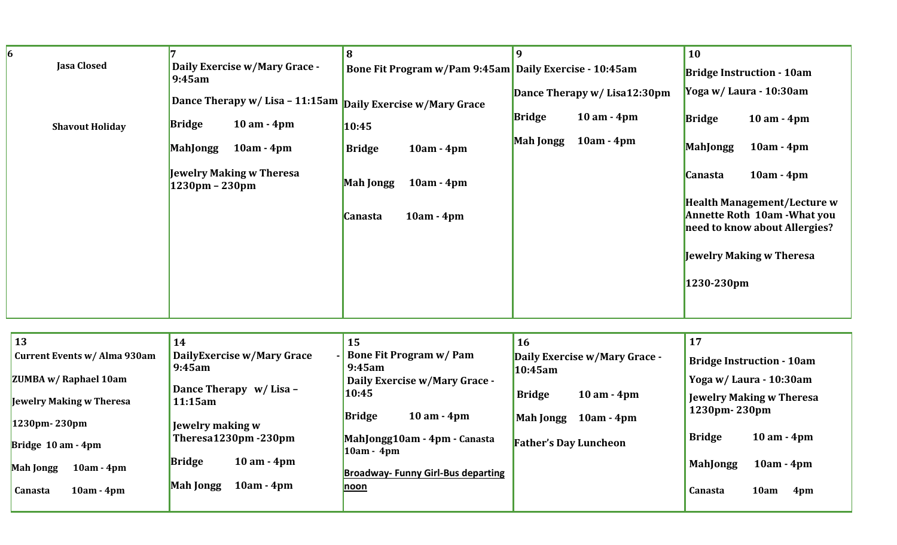| 6                      |                                                             | 8                                                      | q                                | <b>10</b>                                                                                                  |
|------------------------|-------------------------------------------------------------|--------------------------------------------------------|----------------------------------|------------------------------------------------------------------------------------------------------------|
| <b>Jasa Closed</b>     | Daily Exercise w/Mary Grace -<br>9:45am                     | Bone Fit Program w/Pam 9:45am Daily Exercise - 10:45am |                                  | <b>Bridge Instruction - 10am</b>                                                                           |
|                        | Dance Therapy w/ Lisa - 11:15am Daily Exercise w/Mary Grace |                                                        | Dance Therapy w/ Lisa12:30pm     | Yoga w/ Laura - 10:30am                                                                                    |
| <b>Shavout Holiday</b> | <b>Bridge</b><br>$10$ am $-$ 4pm                            | 10:45                                                  | <b>Bridge</b><br>$10 am - 4pm$   | Bridge<br>$10 am - 4pm$                                                                                    |
|                        | <b>MahJongg</b><br>$10am - 4pm$                             | <b>Bridge</b><br>$10am - 4pm$                          | <b>Mah Jongg</b><br>$10am - 4pm$ | MahJongg<br>$10am - 4pm$                                                                                   |
|                        | Jewelry Making w Theresa<br>$1230$ pm – 230pm               | Mah Jongg<br>$10am - 4pm$                              |                                  | <b>Canasta</b><br>$10am - 4pm$                                                                             |
|                        |                                                             | $10am - 4pm$<br><b>Canasta</b>                         |                                  | <b>Health Management/Lecture w</b><br><b>Annette Roth 10am - What you</b><br>need to know about Allergies? |
|                        |                                                             |                                                        |                                  | Jewelry Making w Theresa                                                                                   |
|                        |                                                             |                                                        |                                  | 1230-230pm                                                                                                 |
|                        |                                                             |                                                        |                                  |                                                                                                            |

| 13                                   | 14                               | 15                                           | <b>16</b>                        | 17                                              |
|--------------------------------------|----------------------------------|----------------------------------------------|----------------------------------|-------------------------------------------------|
| Current Events w/ Alma 930am         | DailyExercise w/Mary Grace       | <b>Bone Fit Program w/ Pam</b>               | Daily Exercise w/Mary Grace -    | <b>Bridge Instruction - 10am</b>                |
| ZUMBA w/ Raphael 10am                | 9:45am                           | 9:45am<br>Daily Exercise w/Mary Grace -      | 10:45am                          | Yoga w/ Laura - 10:30am                         |
|                                      | Dance Therapy w/ Lisa -          | 10:45                                        | <b>Bridge</b><br>$10$ am $-$ 4pm |                                                 |
| Jewelry Making w Theresa             | 11:15am                          |                                              |                                  | <b>Jewelry Making w Theresa</b><br>1230pm-230pm |
| 1230pm-230pm                         | Jewelry making w                 | <b>Bridge</b><br>$10$ am $-4$ pm             | Mah Jongg<br>$10am - 4pm$        |                                                 |
| Bridge $10 \text{ am} - 4 \text{pm}$ | Theresa1230pm -230pm             | MahJongg10am - 4pm - Canasta<br>$10am - 4pm$ | <b>Father's Day Luncheon</b>     | <b>Bridge</b><br>$10$ am $-$ 4pm                |
| <b>Mah Jongg</b><br>$10am - 4pm$     | <b>Bridge</b><br>$10 am - 4pm$   | <b>Broadway-Funny Girl-Bus departing</b>     |                                  | <b>MahJongg</b><br>$10am - 4pm$                 |
| Canasta<br>$10am - 4pm$              | <b>Mah Jongg</b><br>$10am - 4pm$ | noon                                         |                                  | Canasta<br>10am<br>4pm                          |
|                                      |                                  |                                              |                                  |                                                 |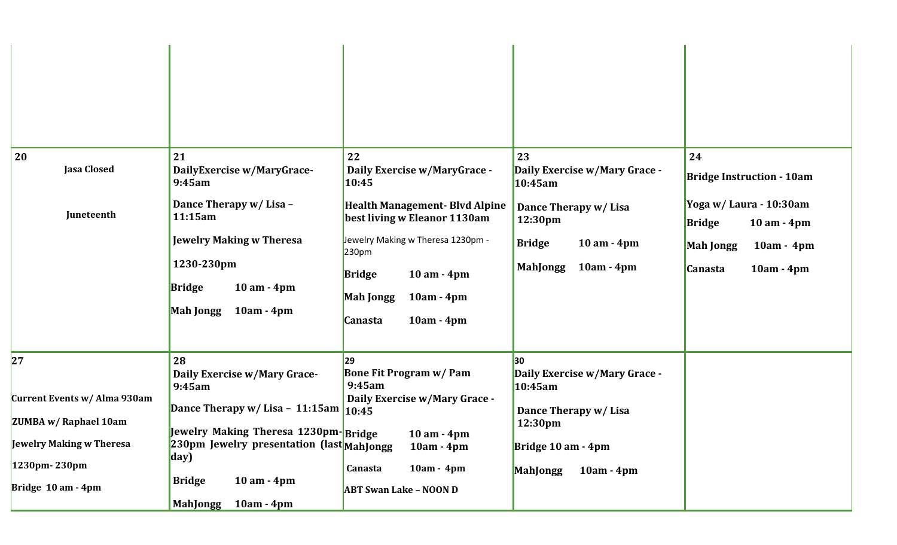| 20<br><b>Jasa Closed</b><br>Juneteenth | 21<br>DailyExercise w/MaryGrace-<br>9:45am<br>Dance Therapy w/ Lisa -<br>11:15am<br><b>Jewelry Making w Theresa</b><br>1230-230pm<br><b>Bridge</b><br>$10 am - 4pm$<br><b>Mah Jongg</b><br>$10am - 4pm$ | 22<br>Daily Exercise w/MaryGrace -<br>10:45<br><b>Health Management- Blvd Alpine</b><br>best living w Eleanor 1130am<br>Jewelry Making w Theresa 1230pm -<br>230pm<br><b>Bridge</b><br>$10 am - 4pm$<br><b>Mah Jongg</b><br>$10am - 4pm$<br>$10am - 4pm$<br><b>Canasta</b> | 23<br>Daily Exercise w/Mary Grace -<br>10:45am<br>Dance Therapy w/ Lisa<br>12:30pm<br><b>Bridge</b><br>$10$ am $-$ 4pm<br><b>MahJongg</b><br>$10am - 4pm$ | 24<br><b>Bridge Instruction - 10am</b><br>Yoga w/ Laura - 10:30am<br><b>Bridge</b><br>$10$ am $-4$ pm<br><b>Mah Jongg</b><br>$10am - 4pm$<br><b>Canasta</b><br>$10am - 4pm$ |
|----------------------------------------|---------------------------------------------------------------------------------------------------------------------------------------------------------------------------------------------------------|----------------------------------------------------------------------------------------------------------------------------------------------------------------------------------------------------------------------------------------------------------------------------|-----------------------------------------------------------------------------------------------------------------------------------------------------------|-----------------------------------------------------------------------------------------------------------------------------------------------------------------------------|
| 27                                     | 28<br>Daily Exercise w/Mary Grace-<br>9:45am                                                                                                                                                            | 29<br><b>Bone Fit Program w/ Pam</b><br>9:45am                                                                                                                                                                                                                             | 30<br>Daily Exercise w/Mary Grace -<br>10:45am                                                                                                            |                                                                                                                                                                             |
| Current Events w/ Alma 930am           | Dance Therapy w/ Lisa - 11:15am $\vert$ 10:45                                                                                                                                                           | Daily Exercise w/Mary Grace -                                                                                                                                                                                                                                              | Dance Therapy w/ Lisa                                                                                                                                     |                                                                                                                                                                             |
| ZUMBA w/Raphael 10am                   | Jewelry Making Theresa 1230pm-Bridge                                                                                                                                                                    | $10 am - 4pm$                                                                                                                                                                                                                                                              | 12:30pm                                                                                                                                                   |                                                                                                                                                                             |
| Jewelry Making w Theresa               | 230pm Jewelry presentation (last MahJongg<br>day)                                                                                                                                                       | $10am - 4pm$                                                                                                                                                                                                                                                               | Bridge 10 am - 4pm                                                                                                                                        |                                                                                                                                                                             |
| 1230pm-230pm                           | <b>Bridge</b><br>$10 am - 4pm$                                                                                                                                                                          | $10am - 4pm$<br>Canasta                                                                                                                                                                                                                                                    | MahJongg<br>$10am - 4pm$                                                                                                                                  |                                                                                                                                                                             |
| Bridge 10 am - 4pm                     | $10am - 4pm$<br><b>MahJongg</b>                                                                                                                                                                         | <b>ABT Swan Lake - NOON D</b>                                                                                                                                                                                                                                              |                                                                                                                                                           |                                                                                                                                                                             |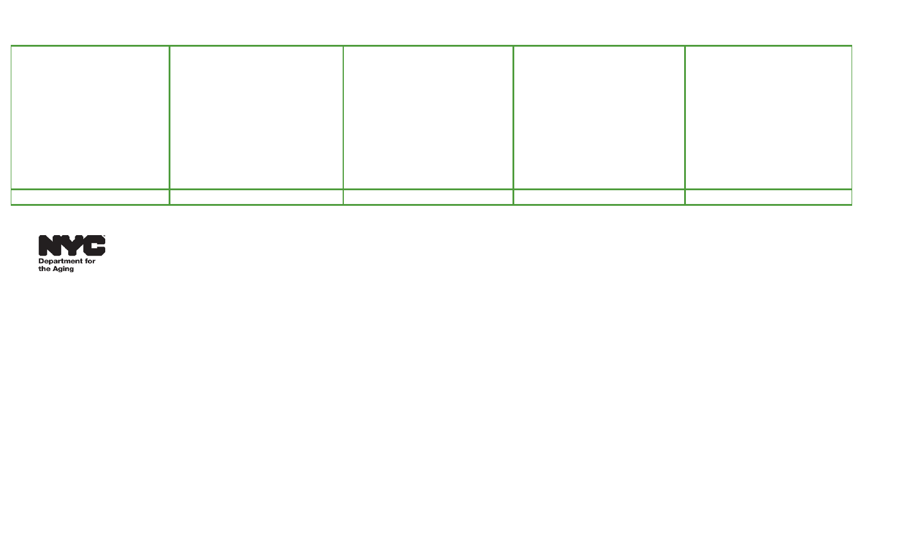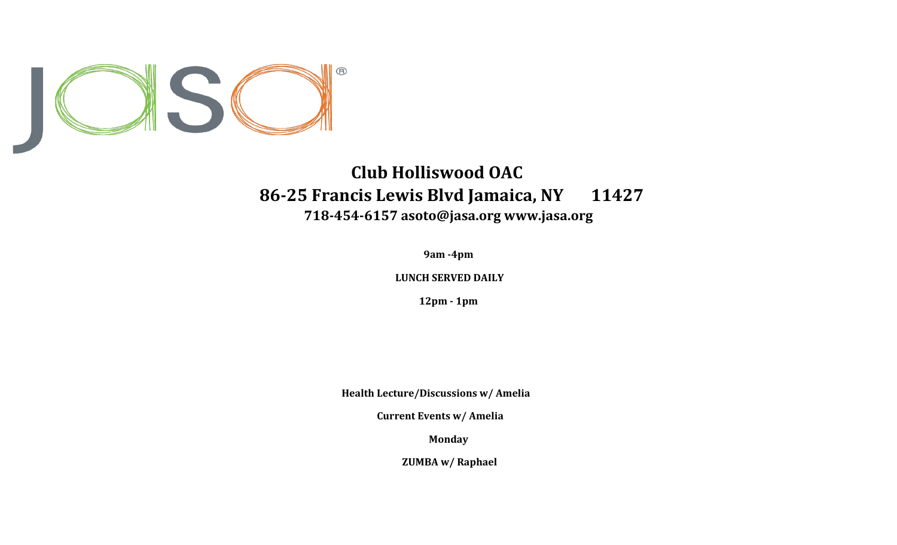

## **Club Holliswood OAC 86-25 Francis Lewis Blvd Jamaica, NY 11427 718-454-6157 asoto@jasa.org www.jasa.org**

**9am -4pm**

**LUNCH SERVED DAILY**

**12pm - 1pm**

 **Health Lecture/Discussions w/ Amelia**

 **Current Events w/ Amelia**

**Monday**

 **ZUMBA w/ Raphael**